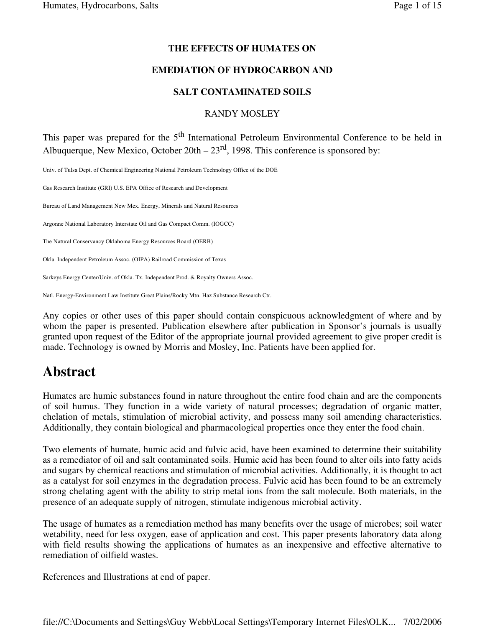#### **THE EFFECTS OF HUMATES ON**

#### **EMEDIATION OF HYDROCARBON AND**

#### **SALT CONTAMINATED SOILS**

#### RANDY MOSLEY

This paper was prepared for the 5<sup>th</sup> International Petroleum Environmental Conference to be held in Albuquerque, New Mexico, October  $20th - 23<sup>rd</sup>$ , 1998. This conference is sponsored by:

Univ. of Tulsa Dept. of Chemical Engineering National Petroleum Technology Office of the DOE

Gas Research Institute (GRI) U.S. EPA Office of Research and Development

Bureau of Land Management New Mex. Energy, Minerals and Natural Resources

Argonne National Laboratory Interstate Oil and Gas Compact Comm. (IOGCC)

The Natural Conservancy Oklahoma Energy Resources Board (OERB)

Okla. Independent Petroleum Assoc. (OIPA) Railroad Commission of Texas

Sarkeys Energy Center/Univ. of Okla. Tx. Independent Prod. & Royalty Owners Assoc.

Natl. Energy-Environment Law Institute Great Plains/Rocky Mtn. Haz Substance Research Ctr.

Any copies or other uses of this paper should contain conspicuous acknowledgment of where and by whom the paper is presented. Publication elsewhere after publication in Sponsor's journals is usually granted upon request of the Editor of the appropriate journal provided agreement to give proper credit is made. Technology is owned by Morris and Mosley, Inc. Patients have been applied for.

# **Abstract**

Humates are humic substances found in nature throughout the entire food chain and are the components of soil humus. They function in a wide variety of natural processes; degradation of organic matter, chelation of metals, stimulation of microbial activity, and possess many soil amending characteristics. Additionally, they contain biological and pharmacological properties once they enter the food chain.

Two elements of humate, humic acid and fulvic acid, have been examined to determine their suitability as a remediator of oil and salt contaminated soils. Humic acid has been found to alter oils into fatty acids and sugars by chemical reactions and stimulation of microbial activities. Additionally, it is thought to act as a catalyst for soil enzymes in the degradation process. Fulvic acid has been found to be an extremely strong chelating agent with the ability to strip metal ions from the salt molecule. Both materials, in the presence of an adequate supply of nitrogen, stimulate indigenous microbial activity.

The usage of humates as a remediation method has many benefits over the usage of microbes; soil water wetability, need for less oxygen, ease of application and cost. This paper presents laboratory data along with field results showing the applications of humates as an inexpensive and effective alternative to remediation of oilfield wastes.

References and Illustrations at end of paper.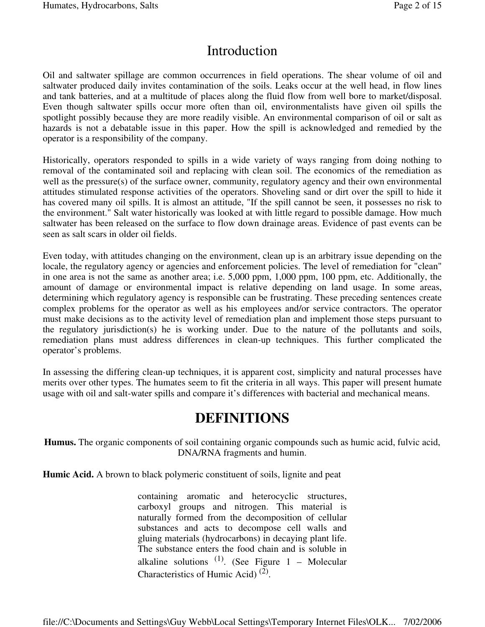# Introduction

Oil and saltwater spillage are common occurrences in field operations. The shear volume of oil and saltwater produced daily invites contamination of the soils. Leaks occur at the well head, in flow lines and tank batteries, and at a multitude of places along the fluid flow from well bore to market/disposal. Even though saltwater spills occur more often than oil, environmentalists have given oil spills the spotlight possibly because they are more readily visible. An environmental comparison of oil or salt as hazards is not a debatable issue in this paper. How the spill is acknowledged and remedied by the operator is a responsibility of the company.

Historically, operators responded to spills in a wide variety of ways ranging from doing nothing to removal of the contaminated soil and replacing with clean soil. The economics of the remediation as well as the pressure(s) of the surface owner, community, regulatory agency and their own environmental attitudes stimulated response activities of the operators. Shoveling sand or dirt over the spill to hide it has covered many oil spills. It is almost an attitude, "If the spill cannot be seen, it possesses no risk to the environment." Salt water historically was looked at with little regard to possible damage. How much saltwater has been released on the surface to flow down drainage areas. Evidence of past events can be seen as salt scars in older oil fields.

Even today, with attitudes changing on the environment, clean up is an arbitrary issue depending on the locale, the regulatory agency or agencies and enforcement policies. The level of remediation for "clean" in one area is not the same as another area; i.e. 5,000 ppm, 1,000 ppm, 100 ppm, etc. Additionally, the amount of damage or environmental impact is relative depending on land usage. In some areas, determining which regulatory agency is responsible can be frustrating. These preceding sentences create complex problems for the operator as well as his employees and/or service contractors. The operator must make decisions as to the activity level of remediation plan and implement those steps pursuant to the regulatory jurisdiction(s) he is working under. Due to the nature of the pollutants and soils, remediation plans must address differences in clean-up techniques. This further complicated the operator's problems.

In assessing the differing clean-up techniques, it is apparent cost, simplicity and natural processes have merits over other types. The humates seem to fit the criteria in all ways. This paper will present humate usage with oil and salt-water spills and compare it's differences with bacterial and mechanical means.

# **DEFINITIONS**

**Humus.** The organic components of soil containing organic compounds such as humic acid, fulvic acid, DNA/RNA fragments and humin.

**Humic Acid.** A brown to black polymeric constituent of soils, lignite and peat

containing aromatic and heterocyclic structures, carboxyl groups and nitrogen. This material is naturally formed from the decomposition of cellular substances and acts to decompose cell walls and gluing materials (hydrocarbons) in decaying plant life. The substance enters the food chain and is soluble in alkaline solutions  $(1)$ . (See Figure 1 – Molecular Characteristics of Humic Acid)<sup>(2)</sup>.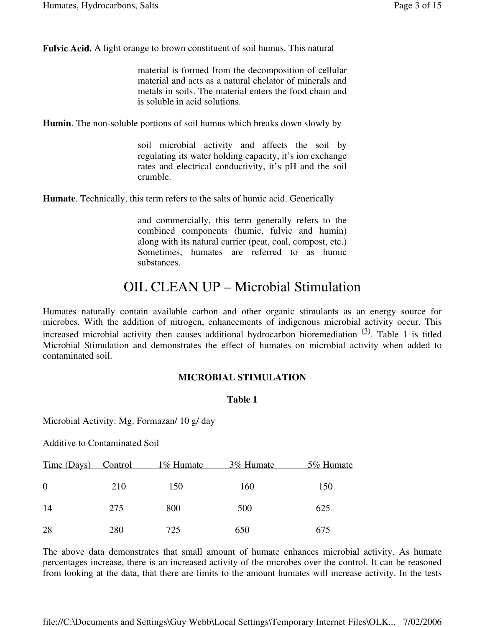**Fulvic Acid.** A light orange to brown constituent of soil humus. This natural

material is formed from the decomposition of cellular material and acts as a natural chelator of minerals and metals in soils. The material enters the food chain and is soluble in acid solutions.

**Humin**. The non-soluble portions of soil humus which breaks down slowly by

soil microbial activity and affects the soil by regulating its water holding capacity, it's ion exchange rates and electrical conductivity, it's pH and the soil crumble.

**Humate**. Technically, this term refers to the salts of humic acid. Generically

and commercially, this term generally refers to the combined components (humic, fulvic and humin) along with its natural carrier (peat, coal, compost, etc.) Sometimes, humates are referred to as humic substances.

# OIL CLEAN UP – Microbial Stimulation

Humates naturally contain available carbon and other organic stimulants as an energy source for microbes. With the addition of nitrogen, enhancements of indigenous microbial activity occur. This increased microbial activity then causes additional hydrocarbon bioremediation  $(3)$ . Table 1 is titled Microbial Stimulation and demonstrates the effect of humates on microbial activity when added to contaminated soil.

#### **MICROBIAL STIMULATION**

#### **Table 1**

Microbial Activity: Mg. Formazan/ 10 g/ day

Additive to Contaminated Soil

| Time (Days) Control |     | 1\% Humate | 3% Humate | 5% Humate |
|---------------------|-----|------------|-----------|-----------|
| $\overline{0}$      | 210 | 150        | 160       | 150       |
| 14                  | 275 | 800        | 500       | 625       |
| 28                  | 280 | 725        | 650       | 675       |

The above data demonstrates that small amount of humate enhances microbial activity. As humate percentages increase, there is an increased activity of the microbes over the control. It can be reasoned from looking at the data, that there are limits to the amount humates will increase activity. In the tests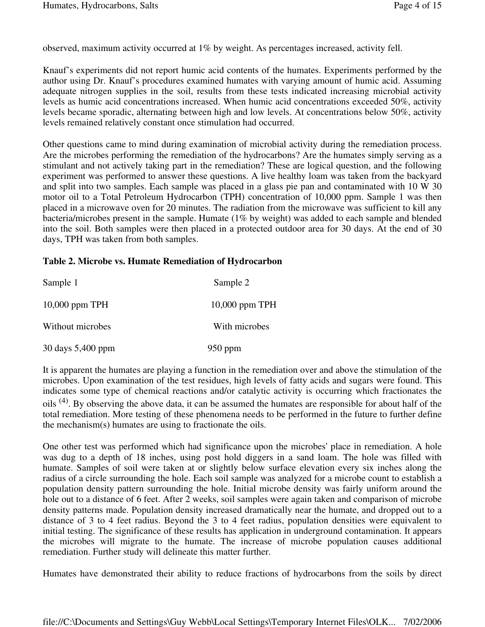observed, maximum activity occurred at 1% by weight. As percentages increased, activity fell.

Knauf's experiments did not report humic acid contents of the humates. Experiments performed by the author using Dr. Knauf's procedures examined humates with varying amount of humic acid. Assuming adequate nitrogen supplies in the soil, results from these tests indicated increasing microbial activity levels as humic acid concentrations increased. When humic acid concentrations exceeded 50%, activity levels became sporadic, alternating between high and low levels. At concentrations below 50%, activity levels remained relatively constant once stimulation had occurred.

Other questions came to mind during examination of microbial activity during the remediation process. Are the microbes performing the remediation of the hydrocarbons? Are the humates simply serving as a stimulant and not actively taking part in the remediation? These are logical question, and the following experiment was performed to answer these questions. A live healthy loam was taken from the backyard and split into two samples. Each sample was placed in a glass pie pan and contaminated with 10 W 30 motor oil to a Total Petroleum Hydrocarbon (TPH) concentration of 10,000 ppm. Sample 1 was then placed in a microwave oven for 20 minutes. The radiation from the microwave was sufficient to kill any bacteria/microbes present in the sample. Humate (1% by weight) was added to each sample and blended into the soil. Both samples were then placed in a protected outdoor area for 30 days. At the end of 30 days, TPH was taken from both samples.

#### **Table 2. Microbe vs. Humate Remediation of Hydrocarbon**

| Sample 1          | Sample 2         |
|-------------------|------------------|
| $10,000$ ppm TPH  | $10,000$ ppm TPH |
| Without microbes  | With microbes    |
| 30 days 5,400 ppm | $950$ ppm        |

It is apparent the humates are playing a function in the remediation over and above the stimulation of the microbes. Upon examination of the test residues, high levels of fatty acids and sugars were found. This indicates some type of chemical reactions and/or catalytic activity is occurring which fractionates the oils <sup>(4)</sup>. By observing the above data, it can be assumed the humates are responsible for about half of the total remediation. More testing of these phenomena needs to be performed in the future to further define the mechanism(s) humates are using to fractionate the oils.

One other test was performed which had significance upon the microbes'place in remediation. A hole was dug to a depth of 18 inches, using post hold diggers in a sand loam. The hole was filled with humate. Samples of soil were taken at or slightly below surface elevation every six inches along the radius of a circle surrounding the hole. Each soil sample was analyzed for a microbe count to establish a population density pattern surrounding the hole. Initial microbe density was fairly uniform around the hole out to a distance of 6 feet. After 2 weeks, soil samples were again taken and comparison of microbe density patterns made. Population density increased dramatically near the humate, and dropped out to a distance of 3 to 4 feet radius. Beyond the 3 to 4 feet radius, population densities were equivalent to initial testing. The significance of these results has application in underground contamination. It appears the microbes will migrate to the humate. The increase of microbe population causes additional remediation. Further study will delineate this matter further.

Humates have demonstrated their ability to reduce fractions of hydrocarbons from the soils by direct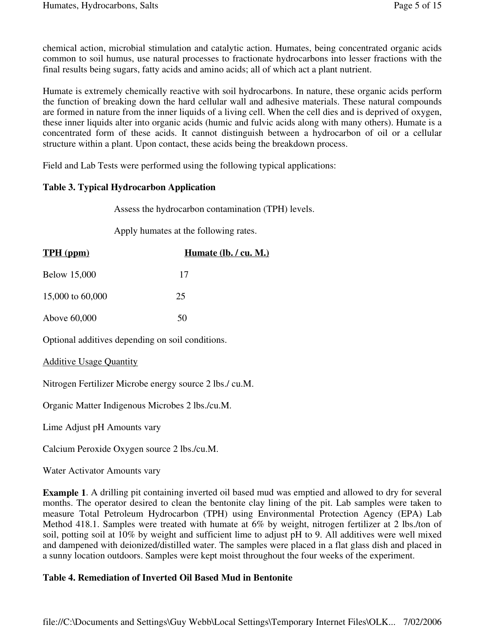chemical action, microbial stimulation and catalytic action. Humates, being concentrated organic acids common to soil humus, use natural processes to fractionate hydrocarbons into lesser fractions with the final results being sugars, fatty acids and amino acids; all of which act a plant nutrient.

Humate is extremely chemically reactive with soil hydrocarbons. In nature, these organic acids perform the function of breaking down the hard cellular wall and adhesive materials. These natural compounds are formed in nature from the inner liquids of a living cell. When the cell dies and is deprived of oxygen, these inner liquids alter into organic acids (humic and fulvic acids along with many others). Humate is a concentrated form of these acids. It cannot distinguish between a hydrocarbon of oil or a cellular structure within a plant. Upon contact, these acids being the breakdown process.

Field and Lab Tests were performed using the following typical applications:

### **Table 3. Typical Hydrocarbon Application**

Assess the hydrocarbon contamination (TPH) levels.

Apply humates at the following rates.

| <b>TPH</b> (ppm)                                        | Humate $(lb. / cu. M.)$ |  |  |  |
|---------------------------------------------------------|-------------------------|--|--|--|
| <b>Below 15,000</b>                                     | 17                      |  |  |  |
| 15,000 to 60,000                                        | 25                      |  |  |  |
| Above 60,000                                            | 50                      |  |  |  |
| Optional additives depending on soil conditions.        |                         |  |  |  |
| <b>Additive Usage Quantity</b>                          |                         |  |  |  |
| Nitrogen Fertilizer Microbe energy source 2 lbs./ cu.M. |                         |  |  |  |
|                                                         |                         |  |  |  |

Organic Matter Indigenous Microbes 2 lbs./cu.M.

Lime Adjust pH Amounts vary

Calcium Peroxide Oxygen source 2 lbs./cu.M.

Water Activator Amounts vary

**Example 1**. A drilling pit containing inverted oil based mud was emptied and allowed to dry for several months. The operator desired to clean the bentonite clay lining of the pit. Lab samples were taken to measure Total Petroleum Hydrocarbon (TPH) using Environmental Protection Agency (EPA) Lab Method 418.1. Samples were treated with humate at 6% by weight, nitrogen fertilizer at 2 lbs./ton of soil, potting soil at 10% by weight and sufficient lime to adjust pH to 9. All additives were well mixed and dampened with deionized/distilled water. The samples were placed in a flat glass dish and placed in a sunny location outdoors. Samples were kept moist throughout the four weeks of the experiment.

### **Table 4. Remediation of Inverted Oil Based Mud in Bentonite**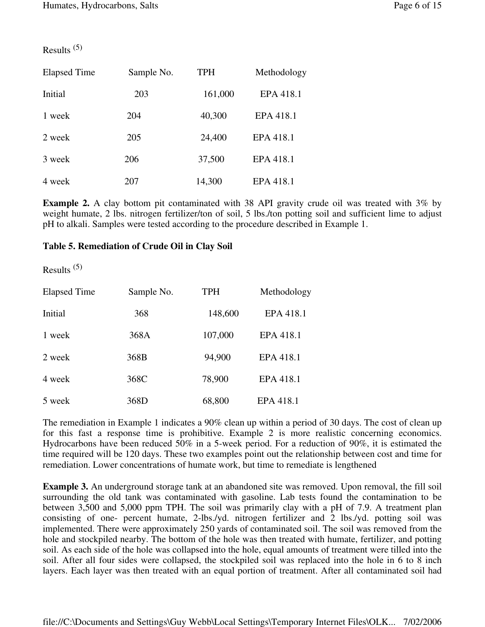Results (5)

| <b>Elapsed Time</b><br>Sample No. |     | <b>TPH</b> | Methodology |  |
|-----------------------------------|-----|------------|-------------|--|
| Initial                           | 203 | 161,000    | EPA 418.1   |  |
| 1 week                            | 204 | 40,300     | EPA 418.1   |  |
| 2 week                            | 205 | 24,400     | EPA 418.1   |  |
| 3 week                            | 206 | 37,500     | EPA 418.1   |  |
| 4 week                            | 207 | 14,300     | EPA 418.1   |  |

**Example 2.** A clay bottom pit contaminated with 38 API gravity crude oil was treated with 3% by weight humate, 2 lbs. nitrogen fertilizer/ton of soil, 5 lbs./ton potting soil and sufficient lime to adjust pH to alkali. Samples were tested according to the procedure described in Example 1.

#### **Table 5. Remediation of Crude Oil in Clay Soil**

Results (5)

| <b>Elapsed Time</b> | Sample No. | <b>TPH</b> | Methodology |
|---------------------|------------|------------|-------------|
| Initial             | 368        | 148,600    | EPA 418.1   |
| 1 week              | 368A       | 107,000    | EPA 418.1   |
| 2 week              | 368B       | 94,900     | EPA 418.1   |
| 4 week              | 368C       | 78,900     | EPA 418.1   |
| 5 week              | 368D       | 68,800     | EPA 418.1   |

The remediation in Example 1 indicates a 90% clean up within a period of 30 days. The cost of clean up for this fast a response time is prohibitive. Example 2 is more realistic concerning economics. Hydrocarbons have been reduced 50% in a 5-week period. For a reduction of 90%, it is estimated the time required will be 120 days. These two examples point out the relationship between cost and time for remediation. Lower concentrations of humate work, but time to remediate is lengthened

**Example 3.** An underground storage tank at an abandoned site was removed. Upon removal, the fill soil surrounding the old tank was contaminated with gasoline. Lab tests found the contamination to be between 3,500 and 5,000 ppm TPH. The soil was primarily clay with a pH of 7.9. A treatment plan consisting of one- percent humate, 2-lbs./yd. nitrogen fertilizer and 2 lbs./yd. potting soil was implemented. There were approximately 250 yards of contaminated soil. The soil was removed from the hole and stockpiled nearby. The bottom of the hole was then treated with humate, fertilizer, and potting soil. As each side of the hole was collapsed into the hole, equal amounts of treatment were tilled into the soil. After all four sides were collapsed, the stockpiled soil was replaced into the hole in 6 to 8 inch layers. Each layer was then treated with an equal portion of treatment. After all contaminated soil had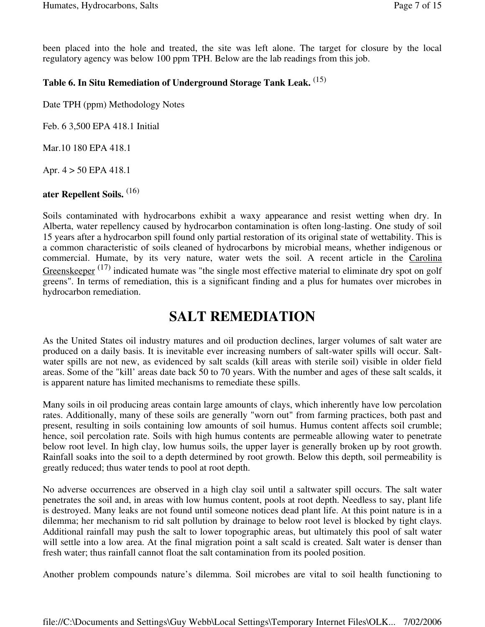been placed into the hole and treated, the site was left alone. The target for closure by the local regulatory agency was below 100 ppm TPH. Below are the lab readings from this job.

## **Table 6. In Situ Remediation of Underground Storage Tank Leak.** (15)

Date TPH (ppm) Methodology Notes

Feb. 6 3,500 EPA 418.1 Initial

Mar.10 180 EPA 418.1

Apr. 4 > 50 EPA 418.1

## **ater Repellent Soils.** (16)

Soils contaminated with hydrocarbons exhibit a waxy appearance and resist wetting when dry. In Alberta, water repellency caused by hydrocarbon contamination is often long-lasting. One study of soil 15 years after a hydrocarbon spill found only partial restoration of its original state of wettability. This is a common characteristic of soils cleaned of hydrocarbons by microbial means, whether indigenous or commercial. Humate, by its very nature, water wets the soil. A recent article in the Carolina Greenskeeper<sup>(17)</sup> indicated humate was "the single most effective material to eliminate dry spot on golf greens". In terms of remediation, this is a significant finding and a plus for humates over microbes in hydrocarbon remediation.

# **SALT REMEDIATION**

As the United States oil industry matures and oil production declines, larger volumes of salt water are produced on a daily basis. It is inevitable ever increasing numbers of salt-water spills will occur. Saltwater spills are not new, as evidenced by salt scalds (kill areas with sterile soil) visible in older field areas. Some of the "kill' areas date back 50 to 70 years. With the number and ages of these salt scalds, it is apparent nature has limited mechanisms to remediate these spills.

Many soils in oil producing areas contain large amounts of clays, which inherently have low percolation rates. Additionally, many of these soils are generally "worn out" from farming practices, both past and present, resulting in soils containing low amounts of soil humus. Humus content affects soil crumble; hence, soil percolation rate. Soils with high humus contents are permeable allowing water to penetrate below root level. In high clay, low humus soils, the upper layer is generally broken up by root growth. Rainfall soaks into the soil to a depth determined by root growth. Below this depth, soil permeability is greatly reduced; thus water tends to pool at root depth.

No adverse occurrences are observed in a high clay soil until a saltwater spill occurs. The salt water penetrates the soil and, in areas with low humus content, pools at root depth. Needless to say, plant life is destroyed. Many leaks are not found until someone notices dead plant life. At this point nature is in a dilemma; her mechanism to rid salt pollution by drainage to below root level is blocked by tight clays. Additional rainfall may push the salt to lower topographic areas, but ultimately this pool of salt water will settle into a low area. At the final migration point a salt scald is created. Salt water is denser than fresh water; thus rainfall cannot float the salt contamination from its pooled position.

Another problem compounds nature's dilemma. Soil microbes are vital to soil health functioning to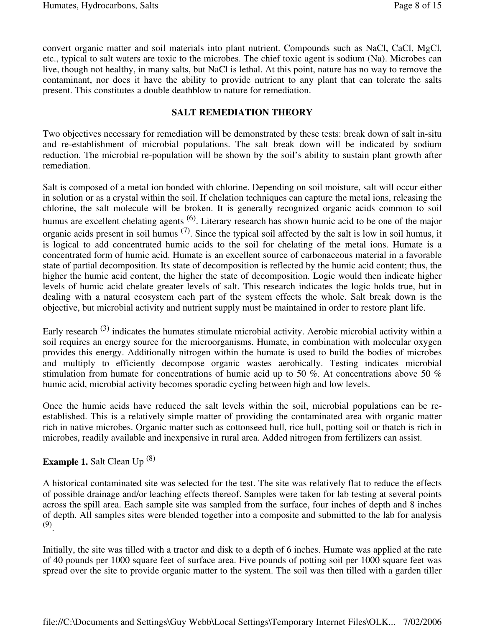convert organic matter and soil materials into plant nutrient. Compounds such as NaCl, CaCl, MgCl, etc., typical to salt waters are toxic to the microbes. The chief toxic agent is sodium (Na). Microbes can live, though not healthy, in many salts, but NaCl is lethal. At this point, nature has no way to remove the contaminant, nor does it have the ability to provide nutrient to any plant that can tolerate the salts present. This constitutes a double deathblow to nature for remediation.

#### **SALT REMEDIATION THEORY**

Two objectives necessary for remediation will be demonstrated by these tests: break down of salt in-situ and re-establishment of microbial populations. The salt break down will be indicated by sodium reduction. The microbial re-population will be shown by the soil's ability to sustain plant growth after remediation.

Salt is composed of a metal ion bonded with chlorine. Depending on soil moisture, salt will occur either in solution or as a crystal within the soil. If chelation techniques can capture the metal ions, releasing the chlorine, the salt molecule will be broken. It is generally recognized organic acids common to soil humus are excellent chelating agents <sup>(6)</sup>. Literary research has shown humic acid to be one of the major organic acids present in soil humus  $(7)$ . Since the typical soil affected by the salt is low in soil humus, it is logical to add concentrated humic acids to the soil for chelating of the metal ions. Humate is a concentrated form of humic acid. Humate is an excellent source of carbonaceous material in a favorable state of partial decomposition. Its state of decomposition is reflected by the humic acid content; thus, the higher the humic acid content, the higher the state of decomposition. Logic would then indicate higher levels of humic acid chelate greater levels of salt. This research indicates the logic holds true, but in dealing with a natural ecosystem each part of the system effects the whole. Salt break down is the objective, but microbial activity and nutrient supply must be maintained in order to restore plant life.

Early research <sup>(3)</sup> indicates the humates stimulate microbial activity. Aerobic microbial activity within a soil requires an energy source for the microorganisms. Humate, in combination with molecular oxygen provides this energy. Additionally nitrogen within the humate is used to build the bodies of microbes and multiply to efficiently decompose organic wastes aerobically. Testing indicates microbial stimulation from humate for concentrations of humic acid up to 50 %. At concentrations above 50 % humic acid, microbial activity becomes sporadic cycling between high and low levels.

Once the humic acids have reduced the salt levels within the soil, microbial populations can be reestablished. This is a relatively simple matter of providing the contaminated area with organic matter rich in native microbes. Organic matter such as cottonseed hull, rice hull, potting soil or thatch is rich in microbes, readily available and inexpensive in rural area. Added nitrogen from fertilizers can assist.

## **Example 1.** Salt Clean Up (8)

A historical contaminated site was selected for the test. The site was relatively flat to reduce the effects of possible drainage and/or leaching effects thereof. Samples were taken for lab testing at several points across the spill area. Each sample site was sampled from the surface, four inches of depth and 8 inches of depth. All samples sites were blended together into a composite and submitted to the lab for analysis (9) .

Initially, the site was tilled with a tractor and disk to a depth of 6 inches. Humate was applied at the rate of 40 pounds per 1000 square feet of surface area. Five pounds of potting soil per 1000 square feet was spread over the site to provide organic matter to the system. The soil was then tilled with a garden tiller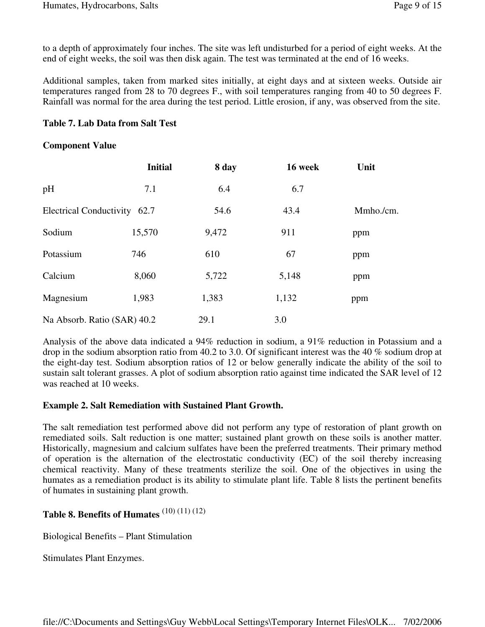to a depth of approximately four inches. The site was left undisturbed for a period of eight weeks. At the end of eight weeks, the soil was then disk again. The test was terminated at the end of 16 weeks.

Additional samples, taken from marked sites initially, at eight days and at sixteen weeks. Outside air temperatures ranged from 28 to 70 degrees F., with soil temperatures ranging from 40 to 50 degrees F. Rainfall was normal for the area during the test period. Little erosion, if any, was observed from the site.

#### **Table 7. Lab Data from Salt Test**

#### **Component Value**

|                              | <b>Initial</b> | 8 day | 16 week | Unit      |
|------------------------------|----------------|-------|---------|-----------|
| pH                           | 7.1            | 6.4   | 6.7     |           |
| Electrical Conductivity 62.7 |                | 54.6  | 43.4    | Mmho./cm. |
| Sodium                       | 15,570         | 9,472 | 911     | ppm       |
| Potassium                    | 746            | 610   | 67      | ppm       |
| Calcium                      | 8,060          | 5,722 | 5,148   | ppm       |
| Magnesium                    | 1,983          | 1,383 | 1,132   | ppm       |
| Na Absorb. Ratio (SAR) 40.2  |                | 29.1  | 3.0     |           |

Analysis of the above data indicated a 94% reduction in sodium, a 91% reduction in Potassium and a drop in the sodium absorption ratio from 40.2 to 3.0. Of significant interest was the 40 % sodium drop at the eight-day test. Sodium absorption ratios of 12 or below generally indicate the ability of the soil to sustain salt tolerant grasses. A plot of sodium absorption ratio against time indicated the SAR level of 12 was reached at 10 weeks.

#### **Example 2. Salt Remediation with Sustained Plant Growth.**

The salt remediation test performed above did not perform any type of restoration of plant growth on remediated soils. Salt reduction is one matter; sustained plant growth on these soils is another matter. Historically, magnesium and calcium sulfates have been the preferred treatments. Their primary method of operation is the alternation of the electrostatic conductivity (EC) of the soil thereby increasing chemical reactivity. Many of these treatments sterilize the soil. One of the objectives in using the humates as a remediation product is its ability to stimulate plant life. Table 8 lists the pertinent benefits of humates in sustaining plant growth.

## **Table 8. Benefits of Humates** (10) (11) (12)

Biological Benefits – Plant Stimulation

Stimulates Plant Enzymes.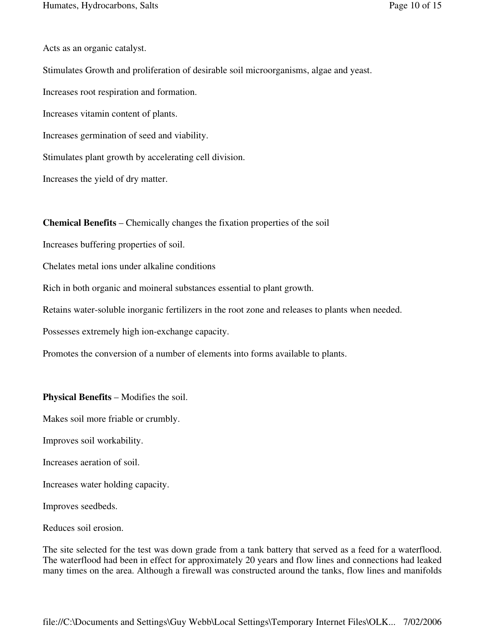Acts as an organic catalyst.

Stimulates Growth and proliferation of desirable soil microorganisms, algae and yeast. Increases root respiration and formation. Increases vitamin content of plants. Increases germination of seed and viability. Stimulates plant growth by accelerating cell division.

Increases the yield of dry matter.

**Chemical Benefits** – Chemically changes the fixation properties of the soil

Increases buffering properties of soil.

Chelates metal ions under alkaline conditions

Rich in both organic and moineral substances essential to plant growth.

Retains water-soluble inorganic fertilizers in the root zone and releases to plants when needed.

Possesses extremely high ion-exchange capacity.

Promotes the conversion of a number of elements into forms available to plants.

**Physical Benefits** – Modifies the soil.

Makes soil more friable or crumbly.

Improves soil workability.

Increases aeration of soil.

Increases water holding capacity.

Improves seedbeds.

Reduces soil erosion.

The site selected for the test was down grade from a tank battery that served as a feed for a waterflood. The waterflood had been in effect for approximately 20 years and flow lines and connections had leaked many times on the area. Although a firewall was constructed around the tanks, flow lines and manifolds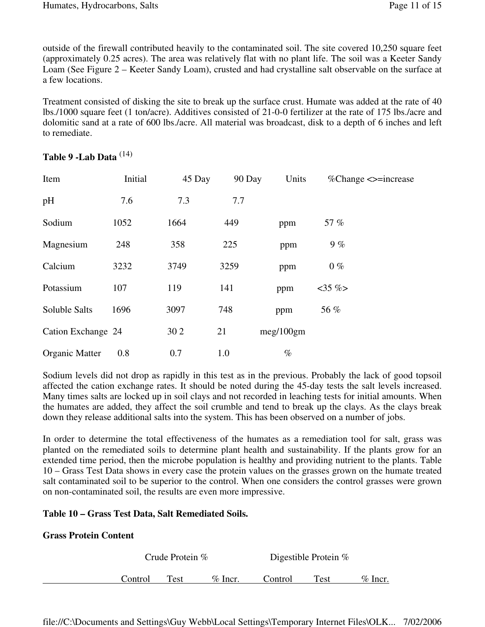outside of the firewall contributed heavily to the contaminated soil. The site covered 10,250 square feet (approximately 0.25 acres). The area was relatively flat with no plant life. The soil was a Keeter Sandy Loam (See Figure 2 – Keeter Sandy Loam), crusted and had crystalline salt observable on the surface at a few locations.

Treatment consisted of disking the site to break up the surface crust. Humate was added at the rate of 40 lbs./1000 square feet (1 ton/acre). Additives consisted of 21-0-0 fertilizer at the rate of 175 lbs./acre and dolomitic sand at a rate of 600 lbs./acre. All material was broadcast, disk to a depth of 6 inches and left to remediate.

| Item               | Initial | 45 Day | 90 Day | Units     | $\%$ Change $\le$ =increase |
|--------------------|---------|--------|--------|-----------|-----------------------------|
| pH                 | 7.6     | 7.3    | 7.7    |           |                             |
| Sodium             | 1052    | 1664   | 449    | ppm       | 57 %                        |
| Magnesium          | 248     | 358    | 225    | ppm       | 9%                          |
| Calcium            | 3232    | 3749   | 3259   | ppm       | $0\%$                       |
| Potassium          | 107     | 119    | 141    | ppm       | $<35\%$                     |
| Soluble Salts      | 1696    | 3097   | 748    | ppm       | 56 %                        |
| Cation Exchange 24 |         | 30 2   | 21     | meg/100gm |                             |
| Organic Matter     | 0.8     | 0.7    | 1.0    | $\%$      |                             |

## **Table 9 -Lab Data** (14)

Sodium levels did not drop as rapidly in this test as in the previous. Probably the lack of good topsoil affected the cation exchange rates. It should be noted during the 45-day tests the salt levels increased. Many times salts are locked up in soil clays and not recorded in leaching tests for initial amounts. When the humates are added, they affect the soil crumble and tend to break up the clays. As the clays break down they release additional salts into the system. This has been observed on a number of jobs.

In order to determine the total effectiveness of the humates as a remediation tool for salt, grass was planted on the remediated soils to determine plant health and sustainability. If the plants grow for an extended time period, then the microbe population is healthy and providing nutrient to the plants. Table 10 – Grass Test Data shows in every case the protein values on the grasses grown on the humate treated salt contaminated soil to be superior to the control. When one considers the control grasses were grown on non-contaminated soil, the results are even more impressive.

### **Table 10 – Grass Test Data, Salt Remediated Soils.**

### **Grass Protein Content**

Crude Protein % Digestible Protein %

Control Test % Incr. Control Test % Incr.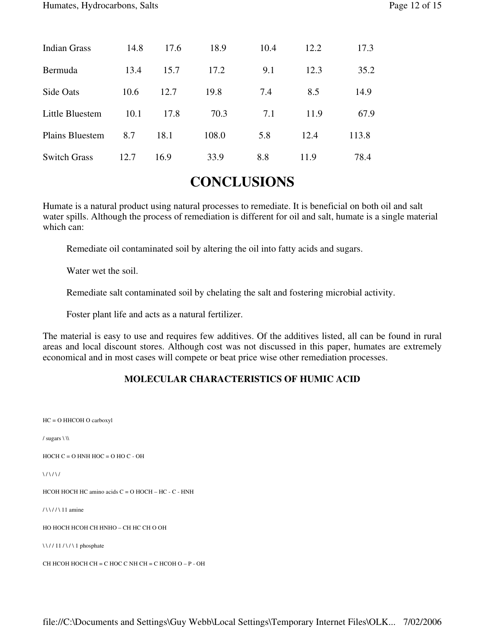| Indian Grass           | 14.8 | 17.6 | 18.9  | 10.4 | 12.2 | 17.3  |
|------------------------|------|------|-------|------|------|-------|
| Bermuda                | 13.4 | 15.7 | 17.2  | 9.1  | 12.3 | 35.2  |
| Side Oats              | 10.6 | 12.7 | 19.8  | 7.4  | 8.5  | 14.9  |
| Little Bluestem        | 10.1 | 17.8 | 70.3  | 7.1  | 11.9 | 67.9  |
| <b>Plains Bluestem</b> | 8.7  | 18.1 | 108.0 | 5.8  | 12.4 | 113.8 |
| <b>Switch Grass</b>    | 12.7 | 16.9 | 33.9  | 8.8  | 11.9 | 78.4  |

# **CONCLUSIONS**

Humate is a natural product using natural processes to remediate. It is beneficial on both oil and salt water spills. Although the process of remediation is different for oil and salt, humate is a single material which can:

Remediate oil contaminated soil by altering the oil into fatty acids and sugars.

Water wet the soil.

Remediate salt contaminated soil by chelating the salt and fostering microbial activity.

Foster plant life and acts as a natural fertilizer.

The material is easy to use and requires few additives. Of the additives listed, all can be found in rural areas and local discount stores. Although cost was not discussed in this paper, humates are extremely economical and in most cases will compete or beat price wise other remediation processes.

### **MOLECULAR CHARACTERISTICS OF HUMIC ACID**

HC = O HHCOH O carboxyl

/ sugars \ \\

 $HOCH C = O HNH HOC = O HO C - OH$ 

 $\binom{1}{\lambda}$ 

HCOH HOCH HC amino acids C = O HOCH – HC - C - HNH

/ \ \ / / \ 11 amine

HO HOCH HCOH CH HNHO – CH HC CH O OH

\\//11 /\/\1 phosphate

CH HCOH HOCH CH = C HOC C NH CH = C HCOH O – P - OH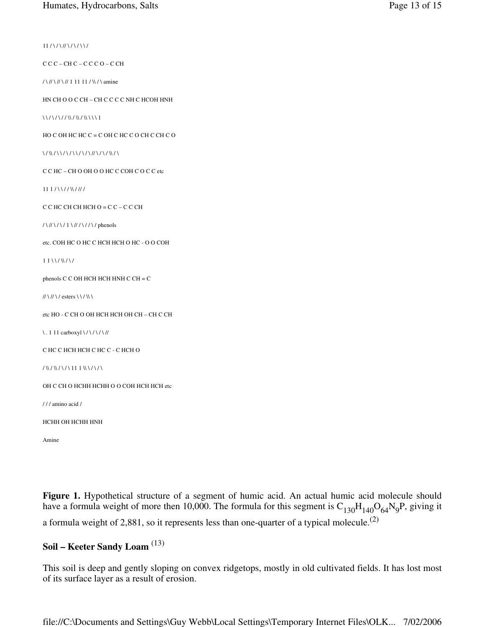$11 / \sqrt{}/ \sqrt{}/ \sqrt{}$ 

C C C – CH C – C C C O – C CH

/ \ // \ // \ // 1 11 11 / \\ / \ amine

HN CH O O C CH – CH C C C C NH C HCOH HNH

\\/\/\//\\/\\/\\/\\\\\1

HO C OH HC HC  $C = C$  OH C HC C O CH C CH C O

\ / \\ / \ / \ / \ / \ / \ / \ / \ / / / / \ / \ / \ / \

C C HC – CH O OH O O HC C COH C O C C etc

 $111 / \frac{\Upsilon}{\Upsilon}$ 

C C HC CH CH HCH O = C C – C C CH

/ \ // \ / \ / 1 \ // / \ / / \ / phenols

etc. COH HC O HC C HCH HCH O HC - O O COH

 $11 \lor / \lor / \lor$ 

phenols C C OH HCH HCH HNH C CH = C

// \// \/ esters \ \ / \\ \

etc HO - C CH O OH HCH HCH OH CH – CH C CH

 $\backslash$ . 1 11 carboxyl $\backslash$ / $\backslash$ / $\backslash$ / $\backslash$ //

C HC C HCH HCH C HC C - C HCH O

/ \\ / \\ / \ / \ 11 1 \\ \ / \ / \

OH C CH O HCHH HCHH O O COH HCH HCH etc

/ / / amino acid /

HCHH OH HCHH HNH

Amine

**Figure 1.** Hypothetical structure of a segment of humic acid. An actual humic acid molecule should have a formula weight of more then 10,000. The formula for this segment is  $C_{130}H_{140}O_{64}N_9P$ , giving it a formula weight of 2,881, so it represents less than one-quarter of a typical molecule.<sup>(2)</sup>

## **Soil – Keeter Sandy Loam** (13)

This soil is deep and gently sloping on convex ridgetops, mostly in old cultivated fields. It has lost most of its surface layer as a result of erosion.

file://C:\Documents and Settings\Guy Webb\Local Settings\Temporary Internet Files\OLK... 7/02/2006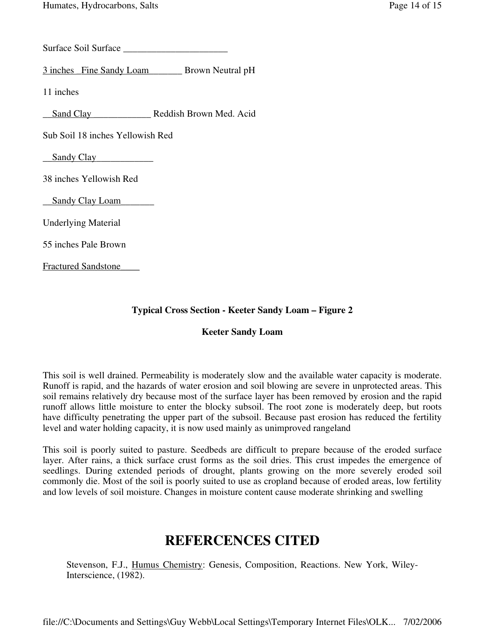Surface Soil Surface \_\_\_\_\_\_\_\_\_\_\_\_\_\_\_\_\_\_\_\_\_\_

3 inches \_Fine Sandy Loam\_\_\_\_\_\_\_ Brown Neutral pH

11 inches

\_\_Sand Clay \_\_\_\_\_\_\_\_\_\_\_\_ Reddish Brown Med. Acid

Sub Soil 18 inches Yellowish Red

**\_\_**Sandy Clay**\_\_\_\_\_\_\_\_\_\_\_\_**

38 inches Yellowish Red

**\_\_**Sandy Clay Loam**\_\_\_\_\_\_\_**

Underlying Material

55 inches Pale Brown

Fractured Sandstone\_\_\_\_

### **Typical Cross Section - Keeter Sandy Loam – Figure 2**

### **Keeter Sandy Loam**

This soil is well drained. Permeability is moderately slow and the available water capacity is moderate. Runoff is rapid, and the hazards of water erosion and soil blowing are severe in unprotected areas. This soil remains relatively dry because most of the surface layer has been removed by erosion and the rapid runoff allows little moisture to enter the blocky subsoil. The root zone is moderately deep, but roots have difficulty penetrating the upper part of the subsoil. Because past erosion has reduced the fertility level and water holding capacity, it is now used mainly as unimproved rangeland

This soil is poorly suited to pasture. Seedbeds are difficult to prepare because of the eroded surface layer. After rains, a thick surface crust forms as the soil dries. This crust impedes the emergence of seedlings. During extended periods of drought, plants growing on the more severely eroded soil commonly die. Most of the soil is poorly suited to use as cropland because of eroded areas, low fertility and low levels of soil moisture. Changes in moisture content cause moderate shrinking and swelling

# **REFERCENCES CITED**

Stevenson, F.J., Humus Chemistry: Genesis, Composition, Reactions. New York, Wiley-Interscience, (1982).